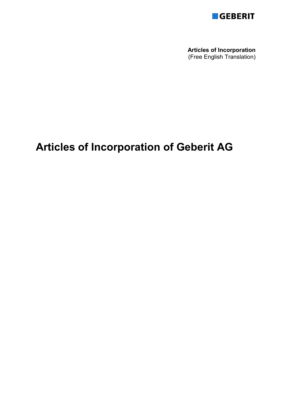

**Articles of Incorporation**  (Free English Translation)

# **Articles of Incorporation of Geberit AG**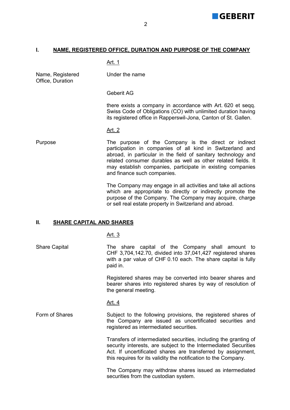

# **I. NAME, REGISTERED OFFICE, DURATION AND PURPOSE OF THE COMPANY**

# Art. 1

Name, Registered Office, Duration

Under the name

## Geberit AG

 there exists a company in accordance with Art. 620 et seqq. Swiss Code of Obligations (CO) with unlimited duration having its registered office in Rapperswil-Jona, Canton of St. Gallen.

#### Art. 2

# Purpose The purpose of the Company is the direct or indirect participation in companies of all kind in Switzerland and abroad, in particular in the field of sanitary technology and related consumer durables as well as other related fields. It may establish companies, participate in existing companies and finance such companies.

 The Company may engage in all activities and take all actions which are appropriate to directly or indirectly promote the purpose of the Company. The Company may acquire, charge or sell real estate property in Switzerland and abroad.

# **II. SHARE CAPITAL AND SHARES**

## Art. 3

Share Capital The share capital of the Company shall amount to CHF 3,704,142.70, divided into 37,041,427 registered shares with a par value of CHF 0.10 each. The share capital is fully paid in.

> Registered shares may be converted into bearer shares and bearer shares into registered shares by way of resolution of the general meeting.

#### Art. 4

Form of Shares Subject to the following provisions, the registered shares of the Company are issued as uncertificated securities and registered as intermediated securities.

> Transfers of intermediated securities, including the granting of security interests, are subject to the Intermediated Securities Act. If uncertificated shares are transferred by assignment, this requires for its validity the notification to the Company.

> The Company may withdraw shares issued as intermediated securities from the custodian system.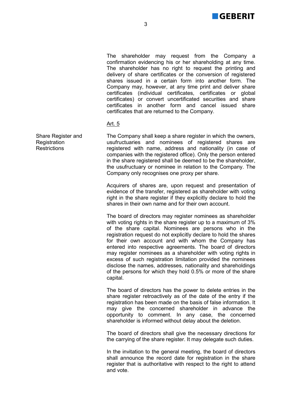

 The shareholder may request from the Company a confirmation evidencing his or her shareholding at any time. The shareholder has no right to request the printing and delivery of share certificates or the conversion of registered shares issued in a certain form into another form. The Company may, however, at any time print and deliver share certificates (individual certificates, certificates or global certificates) or convert uncertificated securities and share certificates in another form and cancel issued share certificates that are returned to the Company.

## Art. 5

The Company shall keep a share register in which the owners, usufructuaries and nominees of registered shares are registered with name, address and nationality (in case of companies with the registered office). Only the person entered in the share registered shall be deemed to be the shareholder, the usufructuary or nominee in relation to the Company. The Company only recognises one proxy per share.

 Acquirers of shares are, upon request and presentation of evidence of the transfer, registered as shareholder with voting right in the share register if they explicitly declare to hold the shares in their own name and for their own account.

 The board of directors may register nominees as shareholder with voting rights in the share register up to a maximum of 3% of the share capital. Nominees are persons who in the registration request do not explicitly declare to hold the shares for their own account and with whom the Company has entered into respective agreements. The board of directors may register nominees as a shareholder with voting rights in excess of such registration limitation provided the nominees disclose the names, addresses, nationality and shareholdings of the persons for which they hold 0.5% or more of the share capital.

 The board of directors has the power to delete entries in the share register retroactively as of the date of the entry if the registration has been made on the basis of false information. It may give the concerned shareholder in advance the opportunity to comment. In any case, the concerned shareholder is informed without delay about the deletion.

 The board of directors shall give the necessary directions for the carrying of the share register. It may delegate such duties.

 In the invitation to the general meeting, the board of directors shall announce the record date for registration in the share register that is authoritative with respect to the right to attend and vote.

Share Register and **Registration** Restrictions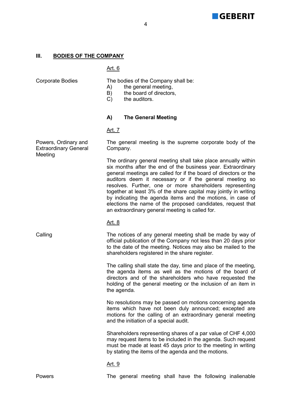

#### 4

## **III. BODIES OF THE COMPANY**

# Art. 6

Powers, Ordinary and Extraordinary General

Meeting

Corporate Bodies The bodies of the Company shall be:

- A) the general meeting,
- B) the board of directors,
- C) the auditors.

## **A) The General Meeting**

#### Art. 7

The general meeting is the supreme corporate body of the Company.

 The ordinary general meeting shall take place annually within six months after the end of the business year. Extraordinary general meetings are called for if the board of directors or the auditors deem it necessary or if the general meeting so resolves. Further, one or more shareholders representing together at least 3% of the share capital may jointly in writing by indicating the agenda items and the motions, in case of elections the name of the proposed candidates, request that an extraordinary general meeting is called for.

## Art. 8

Calling The notices of any general meeting shall be made by way of official publication of the Company not less than 20 days prior to the date of the meeting. Notices may also be mailed to the shareholders registered in the share register.

> The calling shall state the day, time and place of the meeting, the agenda items as well as the motions of the board of directors and of the shareholders who have requested the holding of the general meeting or the inclusion of an item in the agenda.

> No resolutions may be passed on motions concerning agenda items which have not been duly announced; excepted are motions for the calling of an extraordinary general meeting and the initiation of a special audit.

> Shareholders representing shares of a par value of CHF 4,000 may request items to be included in the agenda. Such request must be made at least 45 days prior to the meeting in writing by stating the items of the agenda and the motions.

#### Art. 9

Powers The general meeting shall have the following inalienable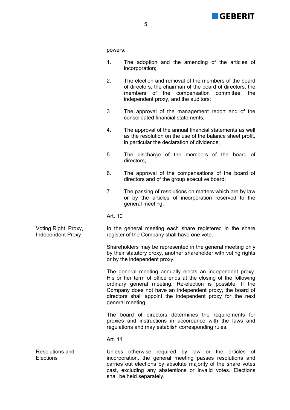

powers:

- 1. The adoption and the amending of the articles of incorporation;
- 2. The election and removal of the members of the board of directors, the chairman of the board of directors, the members of the compensation committee, the independent proxy, and the auditors;
- 3. The approval of the management report and of the consolidated financial statements;
- 4. The approval of the annual financial statements as well as the resolution on the use of the balance sheet profit, in particular the declaration of dividends;
- 5. The discharge of the members of the board of directors;
- 6. The approval of the compensations of the board of directors and of the group executive board;
- 7. The passing of resolutions on matters which are by law or by the articles of incorporation reserved to the general meeting.

## Art. 10

In the general meeting each share registered in the share register of the Company shall have one vote.

 Shareholders may be represented in the general meeting only by their statutory proxy, another shareholder with voting rights or by the independent proxy.

 The general meeting annually elects an independent proxy. His or her term of office ends at the closing of the following ordinary general meeting. Re-election is possible. If the Company does not have an independent proxy, the board of directors shall appoint the independent proxy for the next general meeting.

 The board of directors determines the requirements for proxies and instructions in accordance with the laws and regulations and may establish corresponding rules.

## Art. 11

Unless otherwise required by law or the articles of incorporation, the general meeting passes resolutions and carries out elections by absolute majority of the share votes cast, excluding any abstentions or invalid votes. Elections shall be held separately.

Voting Right, Proxy, Independent Proxy

Resolutions and **Elections**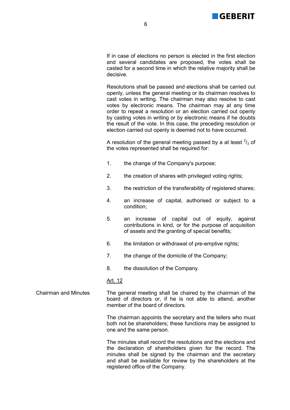

 If in case of elections no person is elected in the first election and several candidates are proposed, the votes shall be casted for a second time in which the relative majority shall be decisive.

 Resolutions shall be passed and elections shall be carried out openly, unless the general meeting or its chairman resolves to cast votes in writing. The chairman may also resolve to cast votes by electronic means. The chairman may at any time order to repeat a resolution or an election carried out openly by casting votes in writing or by electronic means if he doubts the result of the vote. In this case, the preceding resolution or election carried out openly is deemed not to have occurred.

A resolution of the general meeting passed by a at least  $\frac{2}{3}$  of the votes represented shall be required for:

- 1. the change of the Company's purpose;
- 2. the creation of shares with privileged voting rights;
- 3. the restriction of the transferability of registered shares;
- 4. an increase of capital, authorised or subject to a condition;
- 5. an increase of capital out of equity, against contributions in kind, or for the purpose of acquisition of assets and the granting of special benefits;
- 6. the limitation or withdrawal of pre-emptive rights;
- 7. the change of the domicile of the Company;
- 8. the dissolution of the Company.

## Art. 12

Chairman and Minutes The general meeting shall be chaired by the chairman of the board of directors or, if he is not able to attend, another member of the board of directors.

> The chairman appoints the secretary and the tellers who must both not be shareholders; these functions may be assigned to one and the same person.

> The minutes shall record the resolutions and the elections and the declaration of shareholders given for the record. The minutes shall be signed by the chairman and the secretary and shall be available for review by the shareholders at the registered office of the Company.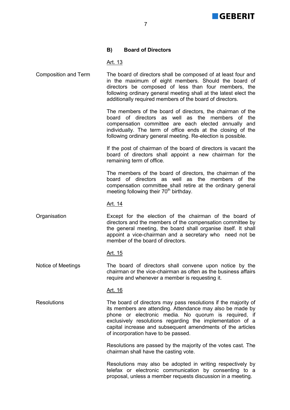

# **B) Board of Directors**

Art. 13

Composition and Term The board of directors shall be composed of at least four and in the maximum of eight members. Should the board of directors be composed of less than four members, the following ordinary general meeting shall at the latest elect the additionally required members of the board of directors.

> The members of the board of directors, the chairman of the board of directors as well as the members of the compensation committee are each elected annually and individually. The term of office ends at the closing of the following ordinary general meeting. Re-election is possible.

> If the post of chairman of the board of directors is vacant the board of directors shall appoint a new chairman for the remaining term of office.

> The members of the board of directors, the chairman of the board of directors as well as the members of the compensation committee shall retire at the ordinary general meeting following their  $70<sup>th</sup>$  birthday.

#### Art. 14

Organisation Except for the election of the chairman of the board of directors and the members of the compensation committee by the general meeting, the board shall organise itself. It shall appoint a vice-chairman and a secretary who need not be member of the board of directors.

#### Art. 15

Notice of Meetings The board of directors shall convene upon notice by the chairman or the vice-chairman as often as the business affairs require and whenever a member is requesting it.

## Art. 16

Resolutions The board of directors may pass resolutions if the majority of its members are attending. Attendance may also be made by phone or electronic media. No quorum is required, if exclusively resolutions regarding the implementation of a capital increase and subsequent amendments of the articles of incorporation have to be passed.

> Resolutions are passed by the majority of the votes cast. The chairman shall have the casting vote.

> Resolutions may also be adopted in writing respectively by telefax or electronic communication by consenting to a proposal, unless a member requests discussion in a meeting.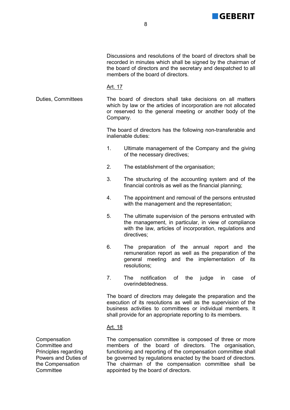

 Discussions and resolutions of the board of directors shall be recorded in minutes which shall be signed by the chairman of the board of directors and the secretary and despatched to all members of the board of directors.

#### Art. 17

Duties, Committees The board of directors shall take decisions on all matters which by law or the articles of incorporation are not allocated or reserved to the general meeting or another body of the Company.

> The board of directors has the following non-transferable and inalienable duties:

- 1. Ultimate management of the Company and the giving of the necessary directives;
- 2. The establishment of the organisation;
- 3. The structuring of the accounting system and of the financial controls as well as the financial planning;
- 4. The appointment and removal of the persons entrusted with the management and the representation;
- 5. The ultimate supervision of the persons entrusted with the management, in particular, in view of compliance with the law, articles of incorporation, regulations and directives;
- 6. The preparation of the annual report and the remuneration report as well as the preparation of the general meeting and the implementation of its resolutions;
- 7. The notification of the judge in case of overindebtedness.

 The board of directors may delegate the preparation and the execution of its resolutions as well as the supervision of the business activities to committees or individual members. It shall provide for an appropriate reporting to its members.

## Art. 18

The compensation committee is composed of three or more members of the board of directors. The organisation, functioning and reporting of the compensation committee shall be governed by regulations enacted by the board of directors. The chairman of the compensation committee shall be appointed by the board of directors.

**Compensation** Committee and Principles regarding Powers and Duties of the Compensation **Committee**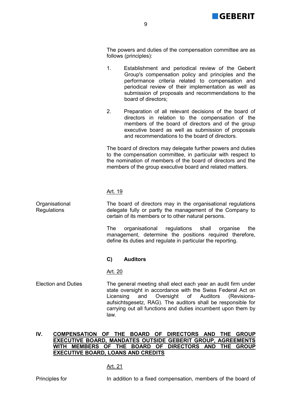

 The powers and duties of the compensation committee are as follows (principles):

- 1. Establishment and periodical review of the Geberit Group's compensation policy and principles and the performance criteria related to compensation and periodical review of their implementation as well as submission of proposals and recommendations to the board of directors;
- 2. Preparation of all relevant decisions of the board of directors in relation to the compensation of the members of the board of directors and of the group executive board as well as submission of proposals and recommendations to the board of directors.

 The board of directors may delegate further powers and duties to the compensation committee, in particular with respect to the nomination of members of the board of directors and the members of the group executive board and related matters.

## Art. 19

The board of directors may in the organisational regulations delegate fully or partly the management of the Company to certain of its members or to other natural persons.

 The organisational regulations shall organise the management, determine the positions required therefore, define its duties and regulate in particular the reporting.

# **C) Auditors**

## Art. 20

Election and Duties The general meeting shall elect each year an audit firm under state oversight in accordance with the Swiss Federal Act on Licensing and Oversight of Auditors (Revisionsaufsichtsgesetz, RAG). The auditors shall be responsible for carrying out all functions and duties incumbent upon them by law.

## **IV. COMPENSATION OF THE BOARD OF DIRECTORS AND THE GROUP EXECUTIVE BOARD, MANDATES OUTSIDE GEBERIT GROUP, AGREEMENTS WITH MEMBERS OF THE BOARD OF DIRECTORS AND THE GROUP EXECUTIVE BOARD, LOANS AND CREDITS**

# Art. 21

**Organisational** Regulations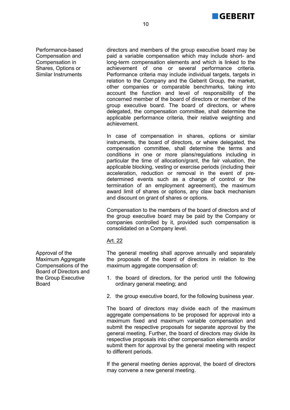

Performance-based Compensation and Compensation in Shares, Options or Similar Instruments

directors and members of the group executive board may be paid a variable compensation which may include short- and long-term compensation elements and which is linked to the achievement of one or several performance criteria. Performance criteria may include individual targets, targets in relation to the Company and the Geberit Group, the market, other companies or comparable benchmarks, taking into account the function and level of responsibility of the concerned member of the board of directors or member of the group executive board. The board of directors, or where delegated, the compensation committee, shall determine the applicable performance criteria, their relative weighting and achievement.

In case of compensation in shares, options or similar instruments, the board of directors, or where delegated, the compensation committee, shall determine the terms and conditions in one or more plans/regulations including in particular the time of allocation/grant, the fair valuation, the applicable blocking, vesting or exercise periods (including their acceleration, reduction or removal in the event of predetermined events such as a change of control or the termination of an employment agreement), the maximum award limit of shares or options, any claw back mechanism and discount on grant of shares or options.

 Compensation to the members of the board of directors and of the group executive board may be paid by the Company or companies controlled by it, provided such compensation is consolidated on a Company level.

# Art. 22

The general meeting shall approve annually and separately the proposals of the board of directors in relation to the maximum aggregate compensation of:

- 1. the board of directors, for the period until the following ordinary general meeting; and
- 2. the group executive board, for the following business year.

 The board of directors may divide each of the maximum aggregate compensations to be proposed for approval into a maximum fixed and maximum variable compensation and submit the respective proposals for separate approval by the general meeting. Further, the board of directors may divide its respective proposals into other compensation elements and/or submit them for approval by the general meeting with respect to different periods.

 If the general meeting denies approval, the board of directors may convene a new general meeting.

Approval of the Maximum Aggregate Compensations of the Board of Directors and the Group Executive Board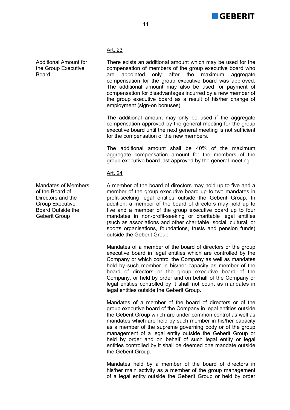

# Art. 23

Additional Amount for the Group Executive There exists an additional amount which may be used for the compensation of members of the group executive board who are appointed only after the maximum aggregate compensation for the group executive board was approved. The additional amount may also be used for payment of

> employment (sign-on bonuses). The additional amount may only be used if the aggregate compensation approved by the general meeting for the group executive board until the next general meeting is not sufficient for the compensation of the new members.

> compensation for disadvantages incurred by a new member of the group executive board as a result of his/her change of

> The additional amount shall be 40% of the maximum aggregate compensation amount for the members of the group executive board last approved by the general meeting.

# Art. 24

A member of the board of directors may hold up to five and a member of the group executive board up to two mandates in profit-seeking legal entities outside the Geberit Group. In addition, a member of the board of directors may hold up to five and a member of the group executive board up to four mandates in non-profit-seeking or charitable legal entities (such as associations and other charitable, social, cultural, or sports organisations, foundations, trusts and pension funds) outside the Geberit Group.

 Mandates of a member of the board of directors or the group executive board in legal entities which are controlled by the Company or which control the Company as well as mandates held by such member in his/her capacity as member of the board of directors or the group executive board of the Company, or held by order and on behalf of the Company or legal entities controlled by it shall not count as mandates in legal entities outside the Geberit Group.

 Mandates of a member of the board of directors or of the group executive board of the Company in legal entities outside the Geberit Group which are under common control as well as mandates which are held by such member in his/her capacity as a member of the supreme governing body or of the group management of a legal entity outside the Geberit Group or held by order and on behalf of such legal entity or legal entities controlled by it shall be deemed one mandate outside the Geberit Group.

 Mandates held by a member of the board of directors in his/her main activity as a member of the group management of a legal entity outside the Geberit Group or held by order

Mandates of Members of the Board of Directors and the Group Executive Board Outside the Geberit Group

**Board**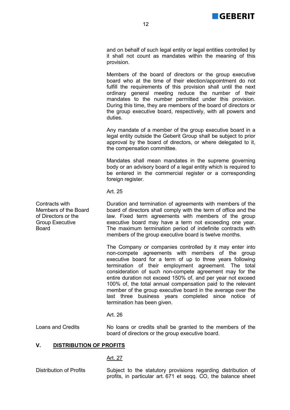

and on behalf of such legal entity or legal entities controlled by it shall not count as mandates within the meaning of this provision.

 Members of the board of directors or the group executive board who at the time of their election/appointment do not fulfill the requirements of this provision shall until the next ordinary general meeting reduce the number of their mandates to the number permitted under this provision. During this time, they are members of the board of directors or the group executive board, respectively, with all powers and duties.

 Any mandate of a member of the group executive board in a legal entity outside the Geberit Group shall be subject to prior approval by the board of directors, or where delegated to it, the compensation committee.

 Mandates shall mean mandates in the supreme governing body or an advisory board of a legal entity which is required to be entered in the commercial register or a corresponding foreign register.

Art. 25

Duration and termination of agreements with members of the board of directors shall comply with the term of office and the law. Fixed term agreements with members of the group executive board may have a term not exceeding one year. The maximum termination period of indefinite contracts with members of the group executive board is twelve months.

 The Company or companies controlled by it may enter into non-compete agreements with members of the group executive board for a term of up to three years following termination of their employment agreement. The total consideration of such non-compete agreement may for the entire duration not exceed 150% of, and per year not exceed 100% of, the total annual compensation paid to the relevant member of the group executive board in the average over the last three business years completed since notice of termination has been given.

#### Art. 26

Loans and Credits No loans or credits shall be granted to the members of the board of directors or the group executive board.

## **V. DISTRIBUTION OF PROFITS**

## Art. 27

Distribution of Profits Subject to the statutory provisions regarding distribution of profits, in particular art. 671 et seqq. CO, the balance sheet

Contracts with Members of the Board of Directors or the Group Executive **Board**